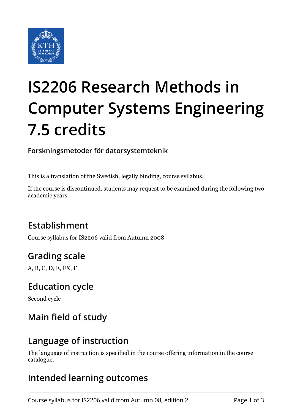

# **IS2206 Research Methods in Computer Systems Engineering 7.5 credits**

#### **Forskningsmetoder för datorsystemteknik**

This is a translation of the Swedish, legally binding, course syllabus.

If the course is discontinued, students may request to be examined during the following two academic years

#### **Establishment**

Course syllabus for IS2206 valid from Autumn 2008

# **Grading scale**

A, B, C, D, E, FX, F

#### **Education cycle**

Second cycle

#### **Main field of study**

#### **Language of instruction**

The language of instruction is specified in the course offering information in the course catalogue.

#### **Intended learning outcomes**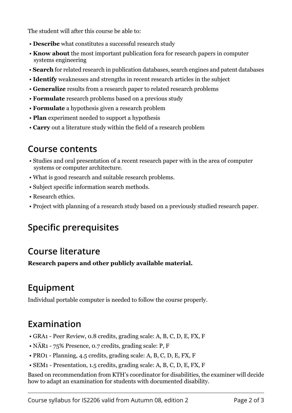The student will after this course be able to:

- **Describe** what constitutes a successful research study
- **Know about** the most important publication fora for research papers in computer systems engineering
- Search for related research in publication databases, search engines and patent databases
- **Identify** weaknesses and strengths in recent research articles in the subject
- **Generalize** results from a research paper to related research problems
- **Formulate** research problems based on a previous study
- **Formulate** a hypothesis given a research problem
- **Plan** experiment needed to support a hypothesis
- **Carry** out a literature study within the field of a research problem

#### **Course contents**

- Studies and oral presentation of a recent research paper with in the area of computer systems or computer architecture.
- What is good research and suitable research problems.
- Subject specific information search methods.
- Research ethics.
- Project with planning of a research study based on a previously studied research paper.

# **Specific prerequisites**

# **Course literature**

Research papers and other publicly available material.

# **Equipment**

Individual portable computer is needed to follow the course properly.

# **Examination**

- GRA1 Peer Review, 0.8 credits, grading scale: A, B, C, D, E, FX, F
- NÄR1 75% Presence, 0.7 credits, grading scale: P, F
- PRO1 Planning, 4.5 credits, grading scale: A, B, C, D, E, FX, F
- SEM1 Presentation, 1.5 credits, grading scale: A, B, C, D, E, FX, F

Based on recommendation from KTH's coordinator for disabilities, the examiner will decide how to adapt an examination for students with documented disability.